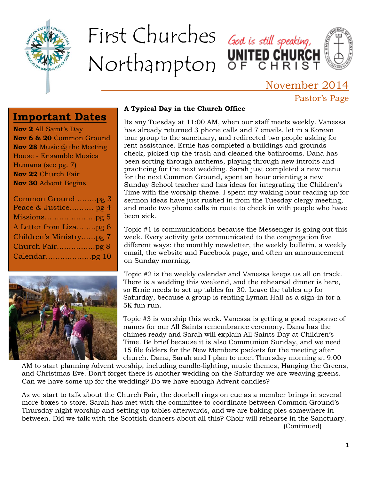

# First Churches God is still speaking, Northampton OF CHRIST



# November 2014 Pastor's Page

# **Important Dates**

**Nov 2** All Saint's Day **Nov 6 & 20** Common Ground **Nov 28** Music @ the Meeting House - Ensamble Musica Humana (see pg. 7) **Nov 22** Church Fair **Nov 30** Advent Begins

| Common Ground pg 3      |
|-------------------------|
| Peace & Justice pg 4    |
|                         |
| A Letter from Lizapg 6  |
| Children's Ministrypg 7 |
|                         |
|                         |
|                         |



### **A Typical Day in the Church Office**

Its any Tuesday at 11:00 AM, when our staff meets weekly. Vanessa has already returned 3 phone calls and 7 emails, let in a Korean tour group to the sanctuary, and redirected two people asking for rent assistance. Ernie has completed a buildings and grounds check, picked up the trash and cleaned the bathrooms. Dana has been sorting through anthems, playing through new introits and practicing for the next wedding. Sarah just completed a new menu for the next Common Ground, spent an hour orienting a new Sunday School teacher and has ideas for integrating the Children's Time with the worship theme. I spent my waking hour reading up for sermon ideas have just rushed in from the Tuesday clergy meeting, and made two phone calls in route to check in with people who have been sick.

Topic #1 is communications because the Messenger is going out this week. Every activity gets communicated to the congregation five different ways: the monthly newsletter, the weekly bulletin, a weekly email, the website and Facebook page, and often an announcement on Sunday morning.

Topic #2 is the weekly calendar and Vanessa keeps us all on track. There is a wedding this weekend, and the rehearsal dinner is here, so Ernie needs to set up tables for 30. Leave the tables up for Saturday, because a group is renting Lyman Hall as a sign-in for a 5K fun run.

Topic #3 is worship this week. Vanessa is getting a good response of names for our All Saints remembrance ceremony. Dana has the chimes ready and Sarah will explain All Saints Day at Children's Time. Be brief because it is also Communion Sunday, and we need 15 file folders for the New Members packets for the meeting after church. Dana, Sarah and I plan to meet Thursday morning at 9:00

AM to start planning Advent worship, including candle-lighting, music themes, Hanging the Greens, and Christmas Eve. Don't forget there is another wedding on the Saturday we are weaving greens. Can we have some up for the wedding? Do we have enough Advent candles?

As we start to talk about the Church Fair, the doorbell rings on cue as a member brings in several more boxes to store. Sarah has met with the committee to coordinate between Common Ground's Thursday night worship and setting up tables afterwards, and we are baking pies somewhere in between. Did we talk with the Scottish dancers about all this? Choir will rehearse in the Sanctuary. (Continued)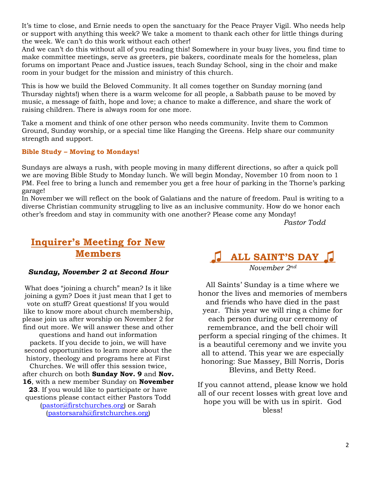It's time to close, and Ernie needs to open the sanctuary for the Peace Prayer Vigil. Who needs help or support with anything this week? We take a moment to thank each other for little things during the week. We can't do this work without each other!

And we can't do this without all of you reading this! Somewhere in your busy lives, you find time to make committee meetings, serve as greeters, pie bakers, coordinate meals for the homeless, plan forums on important Peace and Justice issues, teach Sunday School, sing in the choir and make room in your budget for the mission and ministry of this church.

This is how we build the Beloved Community. It all comes together on Sunday morning (and Thursday nights!) when there is a warm welcome for all people, a Sabbath pause to be moved by music, a message of faith, hope and love; a chance to make a difference, and share the work of raising children. There is always room for one more.

Take a moment and think of one other person who needs community. Invite them to Common Ground, Sunday worship, or a special time like Hanging the Greens. Help share our community strength and support.

### **Bible Study – Moving to Mondays!**

Sundays are always a rush, with people moving in many different directions, so after a quick poll we are moving Bible Study to Monday lunch. We will begin Monday, November 10 from noon to 1 PM. Feel free to bring a lunch and remember you get a free hour of parking in the Thorne's parking garage!

In November we will reflect on the book of Galatians and the nature of freedom. Paul is writing to a diverse Christian community struggling to live as an inclusive community. How do we honor each other's freedom and stay in community with one another? Please come any Monday!

*Pastor Todd*

# **Inquirer's Meeting for New Members**

#### *Sunday, November 2 at Second Hour*

What does "joining a church" mean? Is it like joining a gym? Does it just mean that I get to vote on stuff? Great questions! If you would like to know more about church membership, please join us after worship on November 2 for find out more. We will answer these and other questions and hand out information packets. If you decide to join, we will have second opportunities to learn more about the history, theology and programs here at First Churches. We will offer this session twice, after church on both **Sunday Nov. 9** and **Nov. 16**, with a new member Sunday on **November 23**. If you would like to participate or have questions please contact either Pastors Todd [\(pastor@firstchurches.org\)](mailto:pastor@firstchurches.org) or Sarah

[\(pastorsarah@firstchurches.org\)](mailto:pastorsarah@firstchurches.org)



All Saints' Sunday is a time where we honor the lives and memories of members and friends who have died in the past year. This year we will ring a chime for each person during our ceremony of remembrance, and the bell choir will perform a special ringing of the chimes. It is a beautiful ceremony and we invite you all to attend. This year we are especially honoring: Sue Massey, Bill Norris, Doris Blevins, and Betty Reed.

If you cannot attend, please know we hold all of our recent losses with great love and hope you will be with us in spirit. God bless!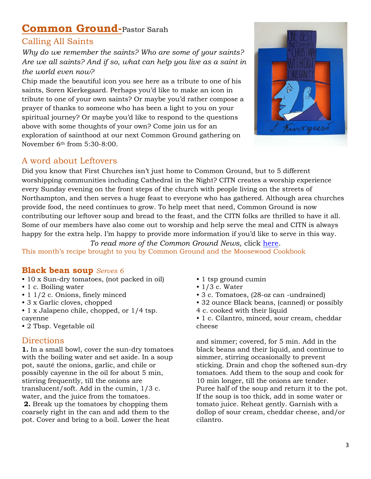# **Common Ground-**Pastor Sarah

### Calling All Saints

*Why do we remember the saints? Who are some of your saints? Are we all saints? And if so, what can help you live as a saint in the world even now?*

Chip made the beautiful icon you see here as a tribute to one of his saints, Soren Kierkegaard. Perhaps you'd like to make an icon in tribute to one of your own saints? Or maybe you'd rather compose a prayer of thanks to someone who has been a light to you on your spiritual journey? Or maybe you'd like to respond to the questions above with some thoughts of your own? Come join us for an exploration of sainthood at our next Common Ground gathering on November 6th from 5:30-8:00.



### A word about Leftovers

Did you know that First Churches isn't just home to Common Ground, but to 5 different worshipping communities including Cathedral in the Night? CITN creates a worship experience every Sunday evening on the front steps of the church with people living on the streets of Northampton, and then serves a huge feast to everyone who has gathered. Although area churches provide food, the need continues to grow. To help meet that need, Common Ground is now contributing our leftover soup and bread to the feast, and the CITN folks are thrilled to have it all. Some of our members have also come out to worship and help serve the meal and CITN is always happy for the extra help. I'm happy to provide more information if you'd like to serve in this way.

*To read more of the Common Ground News,* click [here.](http://firstchurches.org/common-ground-news-and-invitation-for-november-6th/) This month's recipe brought to you by Common Ground and the Moosewood Cookbook

### **Black bean soup** *Serves 6*

- 10 x Sun-dry tomatoes, (not packed in oil)
- 1 c. Boiling water
- 1 1/2 c. Onions, finely minced
- 3 x Garlic cloves, chopped
- 1 x Jalapeno chile, chopped, or 1/4 tsp. cayenne
- 2 Tbsp. Vegetable oil

### **Directions**

**1.** In a small bowl, cover the sun-dry tomatoes with the boiling water and set aside. In a soup pot, sauté the onions, garlic, and chile or possibly cayenne in the oil for about 5 min, stirring frequently, till the onions are translucent/soft. Add in the cumin, 1/3 c. water, and the juice from the tomatoes.

**2.** Break up the tomatoes by chopping them coarsely right in the can and add them to the pot. Cover and bring to a boil. Lower the heat

- 1 tsp ground cumin
- $\cdot$  1/3 c. Water
- 3 c. Tomatoes, (28-oz can -undrained)
- 32 ounce Black beans, (canned) or possibly
- 4 c. cooked with their liquid
- 1 c. Cilantro, minced, sour cream, cheddar cheese

and simmer; covered, for 5 min. Add in the black beans and their liquid, and continue to simmer, stirring occasionally to prevent sticking. Drain and chop the softened sun-dry tomatoes. Add them to the soup and cook for 10 min longer, till the onions are tender. Puree half of the soup and return it to the pot. If the soup is too thick, add in some water or tomato juice. Reheat gently. Garnish with a dollop of sour cream, cheddar cheese, and/or cilantro.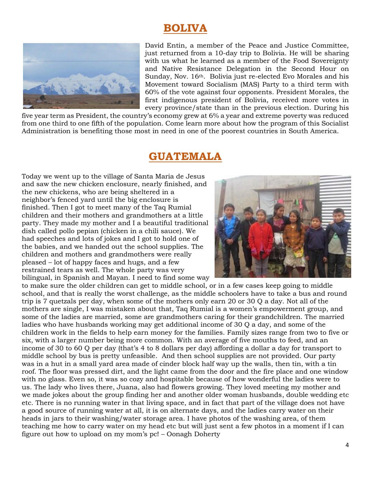# **BOLIVA**



David Entin, a member of the Peace and Justice Committee, just returned from a 10-day trip to Bolivia. He will be sharing with us what he learned as a member of the Food Sovereignty and Native Resistance Delegation in the Second Hour on Sunday, Nov. 16<sup>th</sup>. Bolivia just re-elected Evo Morales and his Movement toward Socialism (MAS) Party to a third term with 60% of the vote against four opponents. President Morales, the first indigenous president of Bolivia, received more votes in every province/state than in the previous election. During his

five year term as President, the country's economy grew at 6% a year and extreme poverty was reduced from one third to one fifth of the population. Come learn more about how the program of this Socialist Administration is benefiting those most in need in one of the poorest countries in South America.

### **GUATEMALA**

Today we went up to the village of Santa Maria de Jesus and saw the new chicken enclosure, nearly finished, and the new chickens, who are being sheltered in a neighbor's fenced yard until the big enclosure is finished. Then I got to meet many of the Taq Rumial children and their mothers and grandmothers at a little party. They made my mother and I a beautiful traditional dish called pollo pepian (chicken in a chili sauce). We had speeches and lots of jokes and I got to hold one of the babies, and we handed out the school supplies. The children and mothers and grandmothers were really pleased – lot of happy faces and hugs, and a few restrained tears as well. The whole party was very bilingual, in Spanish and Mayan. I need to find some way



to make sure the older children can get to middle school, or in a few cases keep going to middle school, and that is really the worst challenge, as the middle schoolers have to take a bus and round trip is 7 quetzals per day, when some of the mothers only earn 20 or 30 Q a day. Not all of the mothers are single, I was mistaken about that, Taq Rumial is a women's empowerment group, and some of the ladies are married, some are grandmothers caring for their grandchildren. The married ladies who have husbands working may get additional income of 30 Q a day, and some of the children work in the fields to help earn money for the families. Family sizes range from two to five or six, with a larger number being more common. With an average of five mouths to feed, and an income of 30 to 60 Q per day (that's 4 to 8 dollars per day) affording a dollar a day for transport to middle school by bus is pretty unfeasible. And then school supplies are not provided. Our party was in a hut in a small yard area made of cinder block half way up the walls, then tin, with a tin roof. The floor was pressed dirt, and the light came from the door and the fire place and one window with no glass. Even so, it was so cozy and hospitable because of how wonderful the ladies were to us. The lady who lives there, Juana, also had flowers growing. They loved meeting my mother and we made jokes about the group finding her and another older woman husbands, double wedding etc etc. There is no running water in that living space, and in fact that part of the village does not have a good source of running water at all, it is on alternate days, and the ladies carry water on their heads in jars to their washing/water storage area. I have photos of the washing area, of them teaching me how to carry water on my head etc but will just sent a few photos in a moment if I can figure out how to upload on my mom's pc! – Oonagh Doherty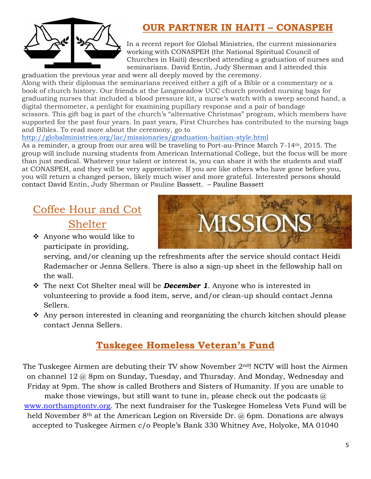

# **OUR PARTNER IN HAITI – CONASPEH**

In a recent report for Global Ministries, the current missionaries working with CONASPEH (the National Spiritual Council of Churches in Haiti) described attending a graduation of nurses and seminarians. David Entin, Judy Sherman and I attended this

graduation the previous year and were all deeply moved by the ceremony. Along with their diplomas the seminarians received either a gift of a Bible or a commentary or a book of church history. Our friends at the Longmeadow UCC church provided nursing bags for graduating nurses that included a blood pressure kit, a nurse's watch with a sweep second hand, a digital thermometer, a penlight for examining pupillary response and a pair of bandage scissors. This gift bag is part of the church's "alternative Christmas" program, which members have supported for the past four years. In past years, First Churches has contributed to the nursing bags and Bibles. To read more about the ceremony, go to

### <http://globalministries.org/lac/missionaries/graduation-haitian-style.html>

As a reminder, a group from our area will be traveling to Port-au-Prince March 7-14th, 2015. The group will include nursing students from American International College, but the focus will be more than just medical. Whatever your talent or interest is, you can share it with the students and staff at CONASPEH, and they will be very appreciative. If you are like others who have gone before you, you will return a changed person, likely much wiser and more grateful. Interested persons should contact David Entin, Judy Sherman or Pauline Bassett. – Pauline Bassett

# Coffee Hour and Cot Shelter

 Anyone who would like to participate in providing,



serving, and/or cleaning up the refreshments after the service should contact Heidi Rademacher or Jenna Sellers. There is also a sign-up sheet in the fellowship hall on the wall.

- The next Cot Shelter meal will be *December 1*. Anyone who is interested in volunteering to provide a food item, serve, and/or clean-up should contact Jenna Sellers.
- Any person interested in cleaning and reorganizing the church kitchen should please contact Jenna Sellers.

# **Tuskegee Homeless Veteran's Fund**

The Tuskegee Airmen are debuting their TV show November 2nd! NCTV will host the Airmen on channel 12 @ 8pm on Sunday, Tuesday, and Thursday. And Monday, Wednesday and Friday at 9pm. The show is called Brothers and Sisters of Humanity. If you are unable to make those viewings, but still want to tune in, please check out the podcasts  $\omega$ [www.northamptontv.org.](http://www.northamptontv.org/) The next fundraiser for the Tuskegee Homeless Vets Fund will be held November 8<sup>th</sup> at the American Legion on Riverside Dr. @ 6pm. Donations are always

accepted to Tuskegee Airmen c/o People's Bank 330 Whitney Ave, Holyoke, MA 01040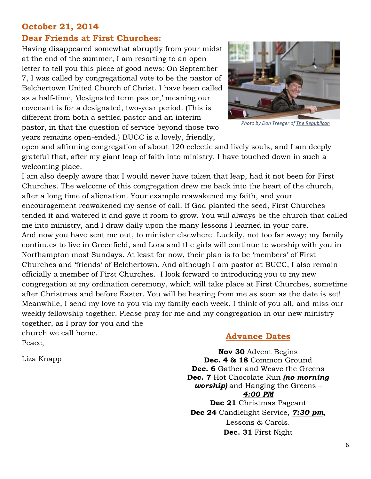### **October 21, 2014**

### **Dear Friends at First Churches:**

Having disappeared somewhat abruptly from your midst at the end of the summer, I am resorting to an open letter to tell you this piece of good news: On September 7, I was called by congregational vote to be the pastor of Belchertown United Church of Christ. I have been called as a half-time, 'designated term pastor,' meaning our covenant is for a designated, two-year period. (This is different from both a settled pastor and an interim pastor, in that the question of service beyond those two years remains open-ended.) BUCC is a lovely, friendly,



*Photo by Don Treeger of The Republican*

open and affirming congregation of about 120 eclectic and lively souls, and I am deeply grateful that, after my giant leap of faith into ministry, I have touched down in such a welcoming place.

I am also deeply aware that I would never have taken that leap, had it not been for First Churches. The welcome of this congregation drew me back into the heart of the church, after a long time of alienation. Your example reawakened my faith, and your encouragement reawakened my sense of call. If God planted the seed, First Churches tended it and watered it and gave it room to grow. You will always be the church that called me into ministry, and I draw daily upon the many lessons I learned in your care. And now you have sent me out, to minister elsewhere. Luckily, not too far away; my family continues to live in Greenfield, and Lora and the girls will continue to worship with you in Northampton most Sundays. At least for now, their plan is to be 'members' of First Churches and 'friends' of Belchertown. And although I am pastor at BUCC, I also remain officially a member of First Churches. I look forward to introducing you to my new congregation at my ordination ceremony, which will take place at First Churches, sometime after Christmas and before Easter. You will be hearing from me as soon as the date is set! Meanwhile, I send my love to you via my family each week. I think of you all, and miss our weekly fellowship together. Please pray for me and my congregation in our new ministry together, as I pray for you and the church we call home.

Peace,

Liza Knapp

### **Advance Dates**

**Nov 30** Advent Begins **Dec. 4 & 18** Common Ground **Dec. 6** Gather and Weave the Greens **Dec. 7** Hot Chocolate Run *(no morning worship)* and Hanging the Greens – *4:00 PM* **Dec 21** Christmas Pageant **Dec 24** Candlelight Service, *7:30 pm*, Lessons & Carols. **Dec. 31** First Night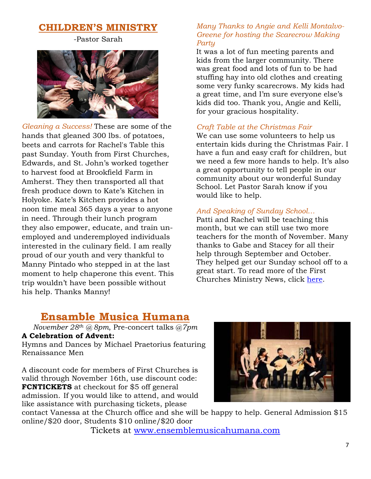# **CHILDREN'S MINISTRY**

-Pastor Sarah



*Gleaning a Success!* These are some of the hands that gleaned 300 lbs. of potatoes, beets and carrots for Rachel's Table this past Sunday. Youth from First Churches, Edwards, and St. John's worked together to harvest food at Brookfield Farm in Amherst. They then transported all that fresh produce down to Kate's Kitchen in Holyoke. Kate's Kitchen provides a hot noon time meal 365 days a year to anyone in need. Through their lunch program they also empower, educate, and train unemployed and underemployed individuals interested in the culinary field. I am really proud of our youth and very thankful to Manny Pintado who stepped in at the last moment to help chaperone this event. This trip wouldn't have been possible without his help. Thanks Manny!

### *Many Thanks to Angie and Kelli Montalvo-Greene for hosting the Scarecrow Making Party*

It was a lot of fun meeting parents and kids from the larger community. There was great food and lots of fun to be had stuffing hay into old clothes and creating some very funky scarecrows. My kids had a great time, and I'm sure everyone else's kids did too. Thank you, Angie and Kelli, for your gracious hospitality.

### *Craft Table at the Christmas Fair*

We can use some volunteers to help us entertain kids during the Christmas Fair. I have a fun and easy craft for children, but we need a few more hands to help. It's also a great opportunity to tell people in our community about our wonderful Sunday School. Let Pastor Sarah know if you would like to help.

### *And Speaking of Sunday School…*

Patti and Rachel will be teaching this month, but we can still use two more teachers for the month of November. Many thanks to Gabe and Stacey for all their help through September and October. They helped get our Sunday school off to a great start. To read more of the First Churches Ministry News, click [here.](http://firstchurches.org/childrens-ministry-at-first-churches/)

# **Ensamble Musica Humana**

*November 28th @ 8pm*, Pre-concert talks @*7pm* **A Celebration of Advent:** 

Hymns and Dances by Michael Praetorius featuring Renaissance Men

A discount code for members of First Churches is valid through November 16th, use discount code: **FCNTICKETS** at checkout for \$5 off general admission. If you would like to attend, and would like assistance with purchasing tickets, please



contact Vanessa at the Church office and she will be happy to help. General Admission \$15 online/\$20 door, Students \$10 online/\$20 door

Tickets at<www.ensemblemusicahumana.com>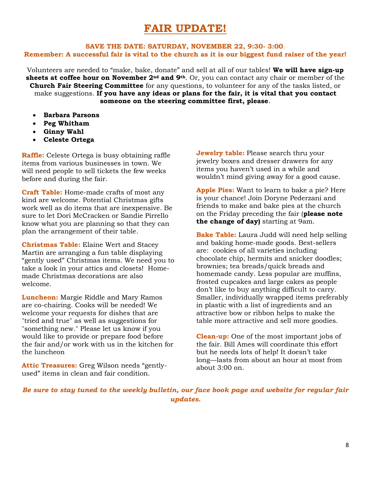# **FAIR UPDATE!**

### **SAVE THE DATE: SATURDAY, NOVEMBER 22, 9:30- 3:00**. **Remember: A successful fair is vital to the church as it is our biggest fund raiser of the year!**

Volunteers are needed to "make, bake, donate" and sell at all of our tables! **We will have sign-up sheets at coffee hour on November 2nd and 9th**. Or, you can contact any chair or member of the **Church Fair Steering Committee** for any questions, to volunteer for any of the tasks listed, or make suggestions. **If you have any ideas or plans for the fair, it is vital that you contact someone on the steering committee first, please**.

- **Barbara Parsons**
- **Peg Whitham**
- **Ginny Wahl**
- **Celeste Ortega**

**Raffle:** Celeste Ortega is busy obtaining raffle items from various businesses in town. We will need people to sell tickets the few weeks before and during the fair.

**Craft Table:** Home-made crafts of most any kind are welcome. Potential Christmas gifts work well as do items that are inexpensive. Be sure to let Dori McCracken or Sandie Pirrello know what you are planning so that they can plan the arrangement of their table.

**Christmas Table:** Elaine Wert and Stacey Martin are arranging a fun table displaying "gently used" Christmas items. We need you to take a look in your attics and closets! Homemade Christmas decorations are also welcome.

**Luncheon:** Margie Riddle and Mary Ramos are co-chairing. Cooks will be needed! We welcome your requests for dishes that are "tried and true" as well as suggestions for "something new." Please let us know if you would like to provide or prepare food before the fair and/or work with us in the kitchen for the luncheon

**Attic Treasures:** Greg Wilson needs "gentlyused" items in clean and fair condition.

**Jewelry table:** Please search thru your jewelry boxes and dresser drawers for any items you haven't used in a while and wouldn't mind giving away for a good cause.

**Apple Pies:** Want to learn to bake a pie? Here is your chance! Join Doryne Pederzani and friends to make and bake pies at the church on the Friday preceding the fair (**please note the change of day)** starting at 9am.

**Bake Table:** Laura Judd will need help selling and baking home-made goods. Best-sellers are: cookies of all varieties including chocolate chip, hermits and snicker doodles; brownies; tea breads/quick breads and homemade candy. Less popular are muffins, frosted cupcakes and large cakes as people don't like to buy anything difficult to carry. Smaller, individually wrapped items preferably in plastic with a list of ingredients and an attractive bow or ribbon helps to make the table more attractive and sell more goodies.

**Clean-up:** One of the most important jobs of the fair. Bill Ames will coordinate this effort but he needs lots of help! It doesn't take long—lasts from about an hour at most from about 3:00 on.

*Be sure to stay tuned to the weekly bulletin, our face book page and website for regular fair updates.*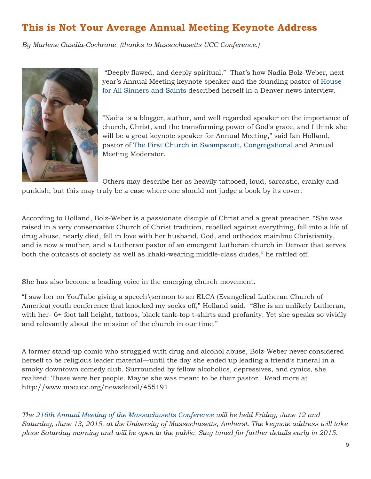# **This is Not Your Average Annual Meeting Keynote Address**

*By Marlene Gasdia-Cochrane (thanks to Massachusetts UCC Conference.)*



"Deeply flawed, and deeply spiritual." That's how Nadia Bolz-Weber, next year's Annual Meeting keynote speaker and the founding pastor of [House](http://www.houseforall.org/)  [for All Sinners and Saints](http://www.houseforall.org/) described herself in a Denver news interview.

"Nadia is a blogger, author, and well regarded speaker on the importance of church, Christ, and the transforming power of God's grace, and I think she will be a great keynote speaker for Annual Meeting," said Ian Holland, pastor of [The First Church in Swampscott, Congregational](http://thefirstchurch.org/) and Annual Meeting Moderator.

Others may describe her as heavily tattooed, loud, sarcastic, cranky and

punkish; but this may truly be a case where one should not judge a book by its cover.

According to Holland, Bolz-Weber is a passionate disciple of Christ and a great preacher. "She was raised in a very conservative Church of Christ tradition, rebelled against everything, fell into a life of drug abuse, nearly died, fell in love with her husband, God, and orthodox mainline Christianity, and is now a mother, and a Lutheran pastor of an emergent Lutheran church in Denver that serves both the outcasts of society as well as khaki-wearing middle-class dudes," he rattled off.

She has also become a leading voice in the emerging church movement.

"I saw her on YouTube giving a speech\sermon to an ELCA (Evangelical Lutheran Church of America) youth conference that knocked my socks off," Holland said. "She is an unlikely Lutheran, with her- 6+ foot tall height, tattoos, black tank-top t-shirts and profanity. Yet she speaks so vividly and relevantly about the mission of the church in our time."

A former stand-up comic who struggled with drug and alcohol abuse, Bolz-Weber never considered herself to be religious leader material—until the day she ended up leading a friend's funeral in a smoky downtown comedy club. Surrounded by fellow alcoholics, depressives, and cynics, she realized: These were her people. Maybe she was meant to be their pastor. Read more at http://www.macucc.org/newsdetail/455191

*The [216th Annual Meeting of the Massachusetts Conference](http://www.macucc.org/eventdetail/189516) will be held Friday, June 12 and Saturday, June 13, 2015, at the University of Massachusetts, Amherst. The keynote address will take place Saturday morning and will be open to the public. Stay tuned for further details early in 2015.*